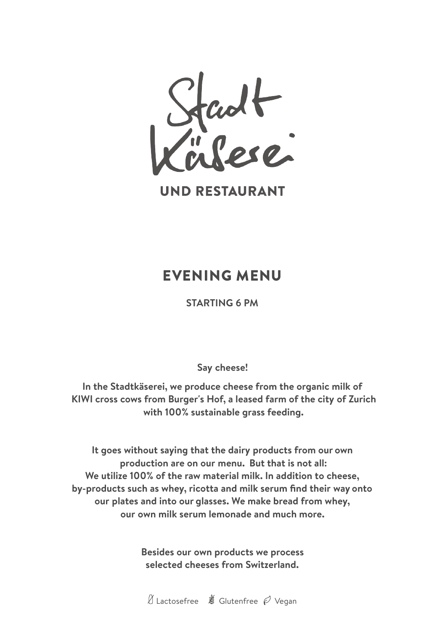

**UND RESTAURANT** 

### EVENING MENU

**STARTING 6 PM**

**Say cheese!**

**In the Stadtkäserei, we produce cheese from the organic milk of KIWI cross cows from Burger's Hof, a leased farm of the city of Zurich with 100% sustainable grass feeding.**

**It goes without saying that the dairy products from our own production are on our menu. But that is not all: We utilize 100% of the raw material milk. In addition to cheese, by-products such as whey, ricotta and milk serum find their way onto our plates and into our glasses. We make bread from whey, our own milk serum lemonade and much more.**

> **Besides our own products we process selected cheeses from Switzerland.**

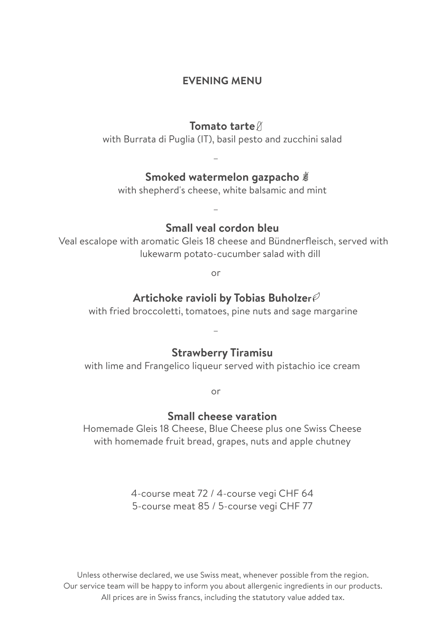### **EVENING MENU**

#### **Tomato tarte**

with Burrata di Puglia (IT), basil pesto and zucchini salad

–

–

### **Smoked watermelon gazpacho**

with shepherd's cheese, white balsamic and mint

### **Small veal cordon bleu**

Veal escalope with aromatic Gleis 18 cheese and Bündnerfleisch, served with lukewarm potato-cucumber salad with dill

or

### **Artichoke ravioli by Tobias Buholzer**

with fried broccoletti, tomatoes, pine nuts and sage margarine

### **Strawberry Tiramisu**

–

with lime and Frangelico liqueur served with pistachio ice cream

or

#### **Small cheese varation**

Homemade Gleis 18 Cheese, Blue Cheese plus one Swiss Cheese with homemade fruit bread, grapes, nuts and apple chutney

> 4-course meat 72 / 4-course vegi CHF 64 5-course meat 85 / 5-course vegi CHF 77

Unless otherwise declared, we use Swiss meat, whenever possible from the region. Our service team will be happy to inform you about allergenic ingredients in our products. All prices are in Swiss francs, including the statutory value added tax.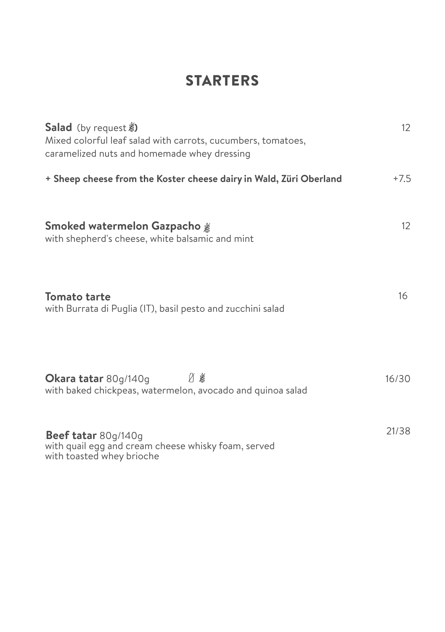# **STARTERS**

| <b>Salad</b> (by request <b>)</b><br>Mixed colorful leaf salad with carrots, cucumbers, tomatoes,<br>caramelized nuts and homemade whey dressing | 12     |
|--------------------------------------------------------------------------------------------------------------------------------------------------|--------|
| + Sheep cheese from the Koster cheese dairy in Wald, Züri Oberland                                                                               | $+7.5$ |
| Smoked watermelon Gazpacho <sub>.</sub> .<br>with shepherd's cheese, white balsamic and mint                                                     | 12     |
| Tomato tarte<br>with Burrata di Puglia (IT), basil pesto and zucchini salad                                                                      | 16     |
| Й¥<br>Okara tatar 80g/140g<br>with baked chickpeas, watermelon, avocado and quinoa salad                                                         | 16/30  |
| Beef tatar 80g/140g<br>with quail egg and cream cheese whisky foam, served<br>with toasted whey brioche                                          | 21/38  |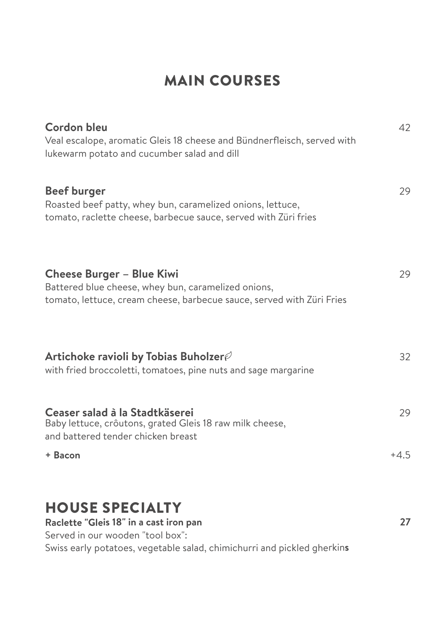## MAIN COURSES

| <b>Cordon bleu</b>                                                                                                                                               | 42     |
|------------------------------------------------------------------------------------------------------------------------------------------------------------------|--------|
| Veal escalope, aromatic Gleis 18 cheese and Bündnerfleisch, served with<br>lukewarm potato and cucumber salad and dill                                           |        |
| <b>Beef burger</b><br>Roasted beef patty, whey bun, caramelized onions, lettuce,<br>tomato, raclette cheese, barbecue sauce, served with Züri fries              | 29     |
| <b>Cheese Burger - Blue Kiwi</b><br>Battered blue cheese, whey bun, caramelized onions,<br>tomato, lettuce, cream cheese, barbecue sauce, served with Züri Fries | 29     |
| Artichoke ravioli by Tobias Buholzer $\mathscr O$<br>with fried broccoletti, tomatoes, pine nuts and sage margarine                                              | 32     |
| Ceaser salad à la Stadtkäserei<br>Baby lettuce, crôutons, grated Gleis 18 raw milk cheese,<br>and battered tender chicken breast                                 | 29     |
| + Bacon                                                                                                                                                          | $+4.5$ |
| <b>HOUSE SPECIALTY</b><br>Raclette "Gleis 18" in a cast iron pan                                                                                                 | 27     |

Served in our wooden "tool box": Swiss early potatoes, vegetable salad, chimichurri and <sup>p</sup>ickled <sup>g</sup>herkin**<sup>s</sup>**